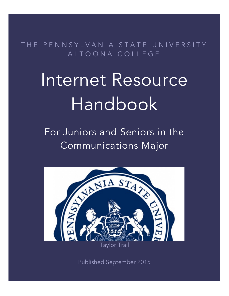THE PENNSYLVANIA STATE UNIVERSITY ALTOONA COLLEGE

# Internet Resource Handbook

For Juniors and Seniors in the Communications Major



Published September 2015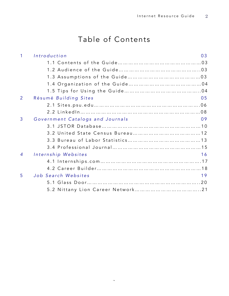# Table of Contents

| 1              | Introduction<br>03                     |
|----------------|----------------------------------------|
|                |                                        |
|                |                                        |
|                |                                        |
|                |                                        |
|                |                                        |
| $\overline{2}$ | Résumé Building Sites<br>05            |
|                |                                        |
|                |                                        |
| 3              | Government Catalogs and Journals<br>09 |
|                |                                        |
|                |                                        |
|                |                                        |
|                |                                        |
| $\overline{4}$ | Internship Websites<br>16              |
|                |                                        |
|                |                                        |
| 5              | Job Search Websites<br>19              |
|                |                                        |
|                |                                        |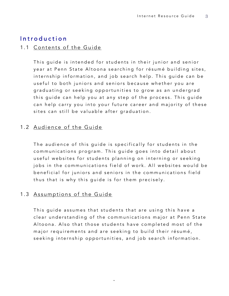# Introduction

#### 1.1 Contents of the Guide

This guide is intended for students in their junior and senior year at Penn State Altoona searching for résumé building sites, internship information, and job search help. This guide can be useful to both juniors and seniors because whether you are graduating or seeking opportunities to grow as an undergrad this guide can help you at any step of the process. This guide can help carry you into your future career and majority of these sites can still be valuable after graduation.

## 1.2 Audience of the Guide

The audience of this guide is specifically for students in the communications program. This guide goes into detail about useful websites for students planning on in terning or seeking jobs in the communications field of work. All websites would be beneficial for juniors and seniors in the communications field thus that is why this guide is for them precisely.

## 1.3 Assumptions of the Guide

This guide assumes that students that are using this have a clear understanding of the communications major at Penn State Altoona. Also that those students have completed most of the major requirements and are seeking to build their résumé, seeking internship opportunities, and job search information .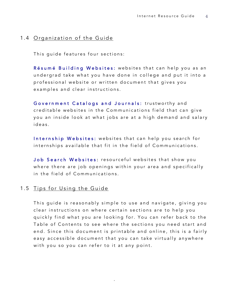#### 1.4 Organization of the Guide

This guide features four sections:

Résumé Building Websites: websites that can help you as an undergrad take what you have done in college and put it into a professional website or written document that gives you examples and clear instructions.

Government Catalogs and Journals: trustworthy and creditable websites in the Communications field that can give you an inside look at what jobs are at a high demand and salary ideas.

Internship Websites: websites that can help you search for internships available that fit in the field of Communications.

Job Search Websites: resourceful websites that show you where there are job openings within your area and specifically in the field of Communications.

## 1.5 Tips for Using the Guide

This guide is reasonably simple to use and navigate, giving you clear instructions on where certain sections are to help you quickly find what you are looking for. You can refer back to the Table of Contents to see where the sections you need start and end. Since this document is printable and online, this is a fairly easy accessible document that you can take virtually anywhere with you so you can refer to it at any point.

 $\overline{4}$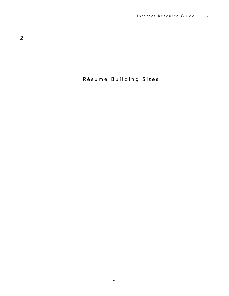# Résumé Building Sites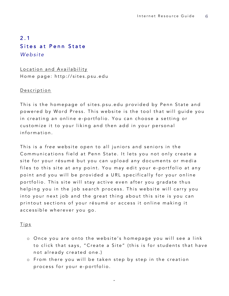# 2 . 1 Sites at Penn State *Website*

Location and Availability Home page: http://sites.psu.edu

#### Description

This is the homepage of sites.psu.edu provided by Penn State and powered by Word Press. This website is the tool that will guide you in creating an online e - portfolio. You can choose a setting or customize it to your liking and then add in your personal information.

This is a *f ree* website open to all juniors and seniors in the Communications field at Penn State. It lets you not only create a site for your résumé but you can upload any documents or media files to this site at any point. You may edit your e-portfolio at any point and you will be provided a URL specifically for your online portfolio. This site will stay active even after you gradate thus helping you in the job search process. This website will carry you into your next job and the great thing about this site is you can printout sections of your résumé or access it online making it accessible wherever you go.

#### Tips

- o Once you are onto the website's homepage you will see a link to click that says, "Create a Site" (this is for students that have not already created one.)
- o From there you will be taken step by step in the creation process for your e - portfolio.

 $\sim$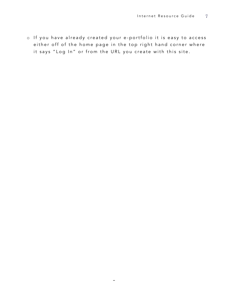o If you have already created your e - portfolio it is easy to access either off of the home page in the top right hand corner where it says "Log In" or from the URL you create with this site.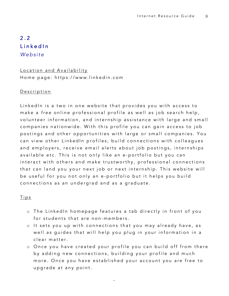# $2.2$ LinkedIn *Website*

## Location and Availability Home page: https://www.linkedin.com

#### **Description**

LinkedIn is a two in one website that provides you with access to make a *free* online professional profile as well as job search help, volunteer information, and internship assistance with large and small companies nationwide . With this profile you can gain access to job postings and other opportunities with large or small companies. You can view other LinkedIn profiles; build connections with colleagues and employers, receive email alerts about job postings, internships available etc. This is not only like an e - portfolio but you can interact with others and make trustworthy, professional connections that can land you your next job or next internship. This website will be useful for you not only an e - portfolio but it helps you build connections as an undergrad and as a graduate.

#### Tips

- o The LinkedIn homepage features a tab directly in front of you for students that are non-members.
- o It sets you up with connections that you may already have, as well as guides that will help you plug in your information in a clear matter.
- o Once you have created your profile you can build off from there by adding new connections, building your profile and much more. Once you have established your account you are free to upgrade at any point.

 $\widehat{\phantom{a}}$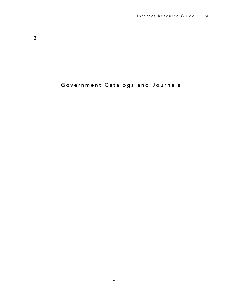# Government Catalogs and Journals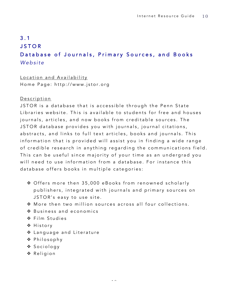# 3.1 JSTOR Database of Journals, Primary Sources, and Books *Website*

#### Location and Availability

Home Page: http://www.jstor.org

#### Description

JSTOR is a database that is accessible through the Penn State Libraries website. This is available to students for free and houses journals, articles, and now books from creditable sources. The JSTOR database provides you with journals, journal citations, abstracts, and links to full text articles, books and journals. This information that is provided will assist you in finding a wide range of credible research in anything regarding the communications field. This can be useful since majority of your time as an undergrad you will need to use information from a database. For instance this database offers books in multiple categories:

- ◆ Offers more then 35,000 eBooks from renowned scholarly publishers, integrated with journals and primary sources on JSTOR's easy to use site.
- v More then two million sources across all four collections.
- $\cdot$  Business and economics
- v Film Studies
- v History
- \* Language and Literature
- v Philosophy
- v Sociology
- v Religion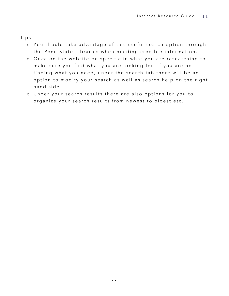Tips

- o You should take advantage of this useful search option through the Penn State Libraries when needing credible information.
- o Once on the website be specific in what you are researching to make sure you find what you are looking for. If you are not finding what you need, under the search tab there will be an option to modify your search as well as search help on the right hand side.
- o Under your search results there are also options for you to organize your search results from newest to oldest etc.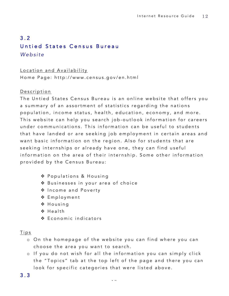# 3.2 Untied States Census Bureau *Website*

Location and Availability Home Page: http://www.census.gov/en.html

#### Description

The Untied States Census Bureau is an online website that offers you a summary of an assortment of statistics regarding the nations population, income status, health, education, economy, and more. This website can help you search job-outlook information for careers under communications. This information can be useful to students that have landed or are seeking job employment in certain areas and want basic information on the region. Also for students that are seeking internships or already have one, they can find useful information on the area of their internship. Some other information p rovided by the Census Bureau:

- ❖ Populations & Housing
- \* Businesses in your area of choice
- v Income and Poverty
- v Employment
- v Housing
- $\div$  Health
- v Economic indicators

## Tips

- o On the homepage of the website you can find where you can choose the area you want to search.
- o If you do not wish for all the information you can simply click the "Topics" tab at the top left of the page and there you can look for specific categories that were listed above.

## 3.3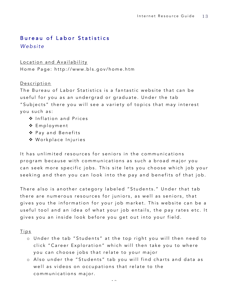# Bureau of Labor Statistics

*Website*

## Location and Availability

Home Page: http://www.bls.gov/home.htm

#### **Description**

The Bureau of Labor Statistics is a fantastic website that can be useful for you as an undergrad or graduate. Under the tab "Subjects" there you will see a variety of topics that may interest you such as:

- v Inflation and Prices
- v Employment
- ❖ Pay and Benefits
- v Workplace Injuries

It has unlimited resources for seniors in the communications program because with communications as such a broad major you can seek more specific jobs. This site lets you choose which job your seeking and then you can look into the pay and benefits of that job.

There also is another category labeled "Students." Under that tab there are numerous resources for juniors, as well as seniors, that gives you the information for your job market. This website can be a useful tool and an idea of what your job entails, the pay rates etc. It gives you an inside look before you get out into your field.

#### Tips

- o Under the tab "Students" at the top right you will then need to click "Career Exploration" which will then take you to where you can choose jobs that relate to your major
- o Also under the "Students" tab you will find charts and data as well as videos on occupations that relate to the communications major.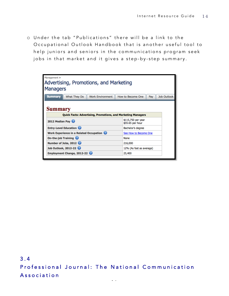o Under the tab "Publications" there will be a link to the Occupational Outlo ok Handbook that is another useful tool to help juniors and seniors in the communications program seek jobs in that market and it gives a step-by-step summary.



3.4 Professional Journal: The National Communication Association

 $\frac{1}{2}$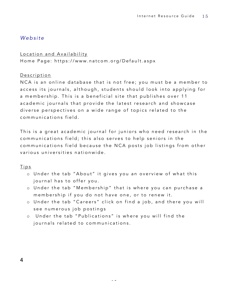## *Website*

Location and Availability

Home Page: https://www.natcom.org/Default.aspx

#### **Description**

NCA is an online database that is not free; you must be a member to access its journals, although, students should look into applying for a membership. This is a beneficial site that publishes over 11 academic journals that provide the latest research and showcase diverse perspectives on a wide range of topics related to the communications field.

This is a great academic journal for juniors who need research in the communications field; this also serves to help seniors in the communications field because the NCA posts job listings from other various universities nationwide.

## Tips

- o Under the tab "About" it gives you an overview of what this journal has to offer you.
- o Under the tab "M embership" that is where you can purchase a membership if you do not have one, or to renew it.
- o Under the tab " C areers" click on find a job, and there you will see numerous job postings

 $\sim$ 

o Under the tab "Publications" is where you will find the journals related to communications.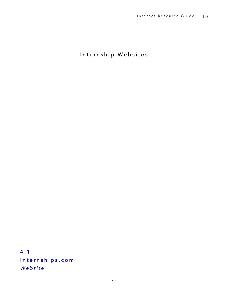Internship Websites

4.1 Internships.com *Website*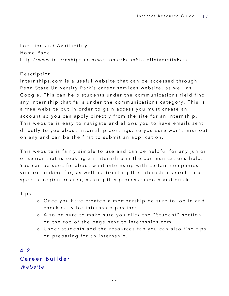#### Location and Availability

Home Page: http://www.internships.com/welcome/PennStateUniversityPark

#### Description

Internships.com is a useful website that can be accessed through Penn State University Park's career services website, as well as Google. This can help students under the communications field find any internship that falls under the communications category. This is a free website but in order to gain access you must create an account so you can apply directly from the site for an internship. This website is easy to navigate and allows you to have emails sent directly to you about internship postings, so you sure won't miss out on any and can be the first to submit an application.

This website is fairly simple to u se and can be helpful for any junior or senior that is seeking an internship in the communications field. You can be specific about what internship with certain companies you are looking for, as well as directing the internship search to a specific region or area, making this process smooth and quick.

#### **Tips**

- o Once you have created a membership be sure to log in and check daily for internship postings
- o Also be sure to make sure you click the "Student" section on the top of the page next to internships.com.
- o Under students and the resources tab you can also find tips on preparing for an internship.

4.2 Career Builder *Website*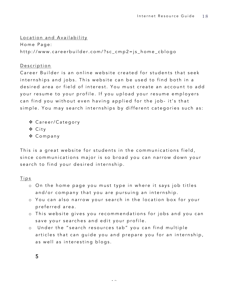Location and Availability

Home Page: http://www.careerbuilder.com/?sc\_cmp2=js\_home\_cblogo

## Description

Career Builder is an online website created for students that seek internships and jobs. This website can be used to find both in a desired area or field of interest. You must create an account to add your resume to your profile . If you upload your resume employers can find you without even having applied for the job- it's that simple. You may search internships by different categories such as:

- v Career/Category
- v City
- ❖ Company

This is a great website for students in the communications field, since communications major is so broad you can narrow down your search to find your desired internship.

## Tips

- o On the home page you must type in where it says job titles and/or company that you are pursuing an internship.
- o You can also narrow your search in the location box for your preferred area.
- o This website gives you recommendations for jobs and you can save your searches and edit your profile.
- o Under the "search resources tab" you can find multiple articles that can guide you and prepare you for an internship, as well as interesting blogs.

 $\sim$ 

5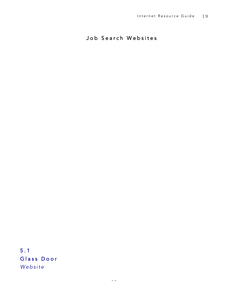Job Search Websites

5.1 Glass Door *Website*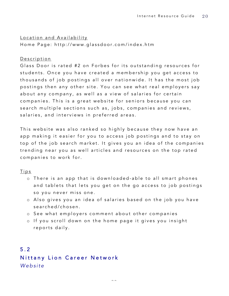Location and Availability Home Page: http://www.glassdoor.com/index.htm

#### **Description**

Glass Door is rated #2 on Forbes for its outstanding resources for students. Once you have created a membership you get access to thousands of job postings all over nationwide. It has the most job postings then any other site. You can see what real employers say about any company, as well as a view of salaries for certain companies. This is a great website for seniors because you can search multiple sections such as, jobs, companies and reviews, salaries, and interviews in preferred areas.

This website was also ranked so highly because they now have an app making it easier for you to access job postings and to stay on top of the job search market. It gives you an idea of the companies trending near you as well articles and resources on the top rated companies to work for.

#### Tips

- o There is an app that is downloaded able to all smart phones and tablets that lets you get on the go access to job postings so you never miss one.
- o Also gives you an idea of salaries based on the job you have searched/chosen.
- o See what employers comment about other companies
- o If you scroll down on the home page it gives you insight reports daily.

# 5.2 Nittany Lion Career Network *Website*